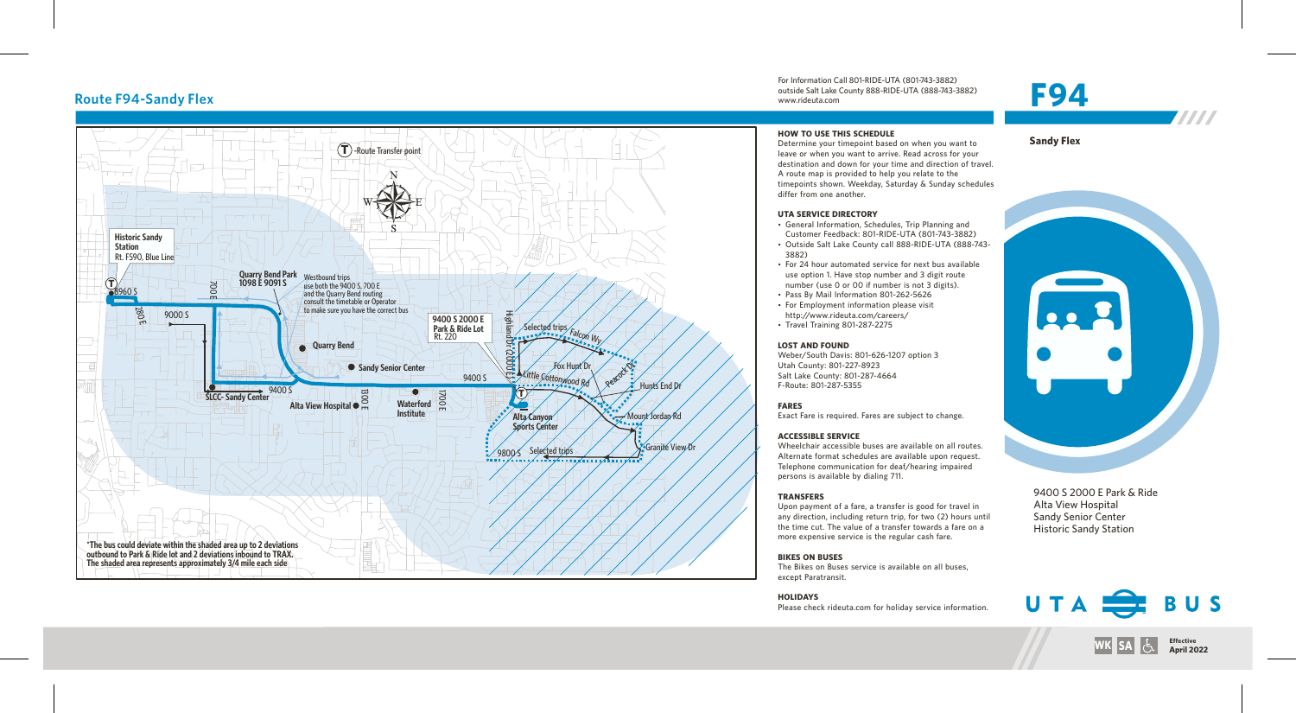

For Information Call 801-RIDE-UTA (801-743-3882) outside Salt Lake County 888-RIDE-UTA (888-743-3882) www.rideuta.com Route F94-Sandy Flex **F94-Sandy Flex**<br>
Route F94-Sandy Flex Electric Country 888-RIDE-UTA (888-743-3882)

### **HOW TO USE THIS SCHEDULE**

Determine your timepoint based on when you want to leave or when you want to arrive. Read across for your destination and down for your time and direction of travel. A route map is provided to help you relate to the timepoints shown. Weekday, Saturday & Sunday schedules differ from one another.

### **UTA SERVICE DIRECTORY**

- General Information, Schedules, Trip Planning and Customer Feedback: 801-RIDE-UTA (801-743-3882)
- Outside Salt Lake County call 888-RIDE-UTA (888-743-3882)
- For 24 hour automated service for next bus available use option 1. Have stop number and 3 digit route number (use 0 or 00 if number is not 3 digits).
- Pass By Mail Information 801-262-5626
- For Employment information please visit http://www.rideuta.com/careers/
- $\cdot$  Travel Training 801-287-2275

#### **LOST AND FOUND**

Weber/South Davis: 801-626-1207 option 3 Utah County: 801-227-8923 Salt Lake County: 801-287-4664 F-Route: 801-287-5355

#### **FARES**

Exact Fare is required. Fares are subject to change.

#### **ACCESSIBLE SERVICE**

Wheelchair accessible buses are available on all routes. Alternate format schedules are available upon request. Telephone communication for deaf/hearing impaired persons is available by dialing 711.

#### **TRANSFERS**

Upon payment of a fare, a transfer is good for travel in any direction, including return trip, for two (2) hours until the time cut. The value of a transfer towards a fare on a more expensive service is the regular cash fare.

### **BIKES ON BUSES**

The Bikes on Buses service is available on all buses, except Paratransit.

**HOLIDAYS** Please check rideuta.com for holiday service information. Alta View Hospital Sandy Senior Center Historic Sandy Station



**Effective WK SA April 2022**





**Sandy Flex**